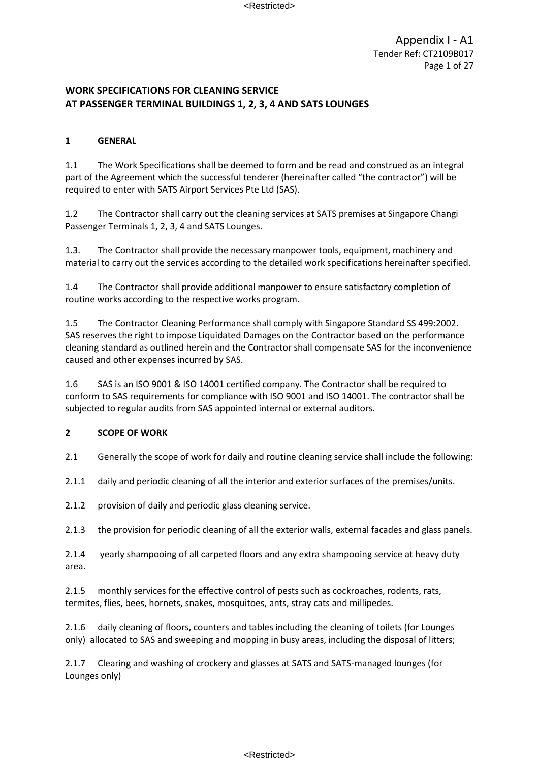### **1 GENERAL**

1.1 The Work Specifications shall be deemed to form and be read and construed as an integral part of the Agreement which the successful tenderer (hereinafter called "the contractor") will be required to enter with SATS Airport Services Pte Ltd (SAS).

1.2 The Contractor shall carry out the cleaning services at SATS premises at Singapore Changi Passenger Terminals 1, 2, 3, 4 and SATS Lounges.

1.3. The Contractor shall provide the necessary manpower tools, equipment, machinery and material to carry out the services according to the detailed work specifications hereinafter specified.

1.4 The Contractor shall provide additional manpower to ensure satisfactory completion of routine works according to the respective works program.

1.5 The Contractor Cleaning Performance shall comply with Singapore Standard SS 499:2002. SAS reserves the right to impose Liquidated Damages on the Contractor based on the performance cleaning standard as outlined herein and the Contractor shall compensate SAS for the inconvenience caused and other expenses incurred by SAS.

1.6 SAS is an ISO 9001 & ISO 14001 certified company. The Contractor shall be required to conform to SAS requirements for compliance with ISO 9001 and ISO 14001. The contractor shall be subjected to regular audits from SAS appointed internal or external auditors.

#### **2 SCOPE OF WORK**

2.1 Generally the scope of work for daily and routine cleaning service shall include the following:

2.1.1 daily and periodic cleaning of all the interior and exterior surfaces of the premises/units.

2.1.2 provision of daily and periodic glass cleaning service.

2.1.3 the provision for periodic cleaning of all the exterior walls, external facades and glass panels.

2.1.4 yearly shampooing of all carpeted floors and any extra shampooing service at heavy duty area.

2.1.5 monthly services for the effective control of pests such as cockroaches, rodents, rats, termites, flies, bees, hornets, snakes, mosquitoes, ants, stray cats and millipedes.

2.1.6 daily cleaning of floors, counters and tables including the cleaning of toilets (for Lounges only) allocated to SAS and sweeping and mopping in busy areas, including the disposal of litters;

2.1.7 Clearing and washing of crockery and glasses at SATS and SATS-managed lounges (for Lounges only)

#### <Restricted>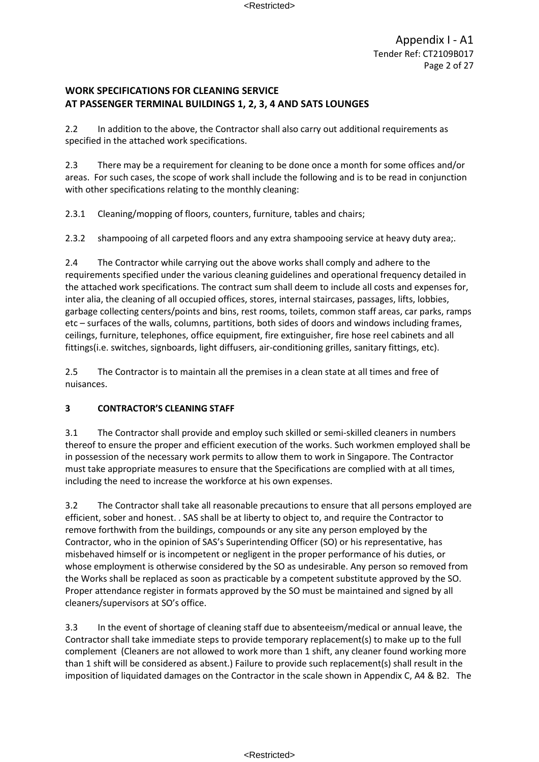2.2 In addition to the above, the Contractor shall also carry out additional requirements as specified in the attached work specifications.

2.3 There may be a requirement for cleaning to be done once a month for some offices and/or areas. For such cases, the scope of work shall include the following and is to be read in conjunction with other specifications relating to the monthly cleaning:

2.3.1 Cleaning/mopping of floors, counters, furniture, tables and chairs;

2.3.2 shampooing of all carpeted floors and any extra shampooing service at heavy duty area;.

2.4 The Contractor while carrying out the above works shall comply and adhere to the requirements specified under the various cleaning guidelines and operational frequency detailed in the attached work specifications. The contract sum shall deem to include all costs and expenses for, inter alia, the cleaning of all occupied offices, stores, internal staircases, passages, lifts, lobbies, garbage collecting centers/points and bins, rest rooms, toilets, common staff areas, car parks, ramps etc – surfaces of the walls, columns, partitions, both sides of doors and windows including frames, ceilings, furniture, telephones, office equipment, fire extinguisher, fire hose reel cabinets and all fittings(i.e. switches, signboards, light diffusers, air-conditioning grilles, sanitary fittings, etc).

2.5 The Contractor is to maintain all the premises in a clean state at all times and free of nuisances.

### **3 CONTRACTOR'S CLEANING STAFF**

3.1 The Contractor shall provide and employ such skilled or semi-skilled cleaners in numbers thereof to ensure the proper and efficient execution of the works. Such workmen employed shall be in possession of the necessary work permits to allow them to work in Singapore. The Contractor must take appropriate measures to ensure that the Specifications are complied with at all times, including the need to increase the workforce at his own expenses.

3.2 The Contractor shall take all reasonable precautions to ensure that all persons employed are efficient, sober and honest. . SAS shall be at liberty to object to, and require the Contractor to remove forthwith from the buildings, compounds or any site any person employed by the Contractor, who in the opinion of SAS's Superintending Officer (SO) or his representative, has misbehaved himself or is incompetent or negligent in the proper performance of his duties, or whose employment is otherwise considered by the SO as undesirable. Any person so removed from the Works shall be replaced as soon as practicable by a competent substitute approved by the SO. Proper attendance register in formats approved by the SO must be maintained and signed by all cleaners/supervisors at SO's office.

3.3 In the event of shortage of cleaning staff due to absenteeism/medical or annual leave, the Contractor shall take immediate steps to provide temporary replacement(s) to make up to the full complement (Cleaners are not allowed to work more than 1 shift, any cleaner found working more than 1 shift will be considered as absent.) Failure to provide such replacement(s) shall result in the imposition of liquidated damages on the Contractor in the scale shown in Appendix C, A4 & B2. The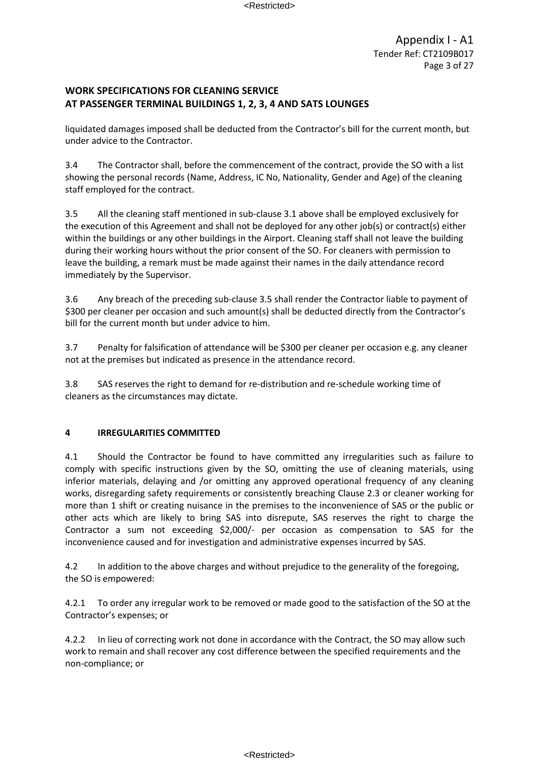liquidated damages imposed shall be deducted from the Contractor's bill for the current month, but under advice to the Contractor.

3.4 The Contractor shall, before the commencement of the contract, provide the SO with a list showing the personal records (Name, Address, IC No, Nationality, Gender and Age) of the cleaning staff employed for the contract.

3.5 All the cleaning staff mentioned in sub-clause 3.1 above shall be employed exclusively for the execution of this Agreement and shall not be deployed for any other job(s) or contract(s) either within the buildings or any other buildings in the Airport. Cleaning staff shall not leave the building during their working hours without the prior consent of the SO. For cleaners with permission to leave the building, a remark must be made against their names in the daily attendance record immediately by the Supervisor.

3.6 Any breach of the preceding sub-clause 3.5 shall render the Contractor liable to payment of \$300 per cleaner per occasion and such amount(s) shall be deducted directly from the Contractor's bill for the current month but under advice to him.

3.7 Penalty for falsification of attendance will be \$300 per cleaner per occasion e.g. any cleaner not at the premises but indicated as presence in the attendance record.

3.8 SAS reserves the right to demand for re-distribution and re-schedule working time of cleaners as the circumstances may dictate.

### **4 IRREGULARITIES COMMITTED**

4.1 Should the Contractor be found to have committed any irregularities such as failure to comply with specific instructions given by the SO, omitting the use of cleaning materials, using inferior materials, delaying and /or omitting any approved operational frequency of any cleaning works, disregarding safety requirements or consistently breaching Clause 2.3 or cleaner working for more than 1 shift or creating nuisance in the premises to the inconvenience of SAS or the public or other acts which are likely to bring SAS into disrepute, SAS reserves the right to charge the Contractor a sum not exceeding \$2,000/- per occasion as compensation to SAS for the inconvenience caused and for investigation and administrative expenses incurred by SAS.

4.2 In addition to the above charges and without prejudice to the generality of the foregoing, the SO is empowered:

4.2.1 To order any irregular work to be removed or made good to the satisfaction of the SO at the Contractor's expenses; or

4.2.2 In lieu of correcting work not done in accordance with the Contract, the SO may allow such work to remain and shall recover any cost difference between the specified requirements and the non-compliance; or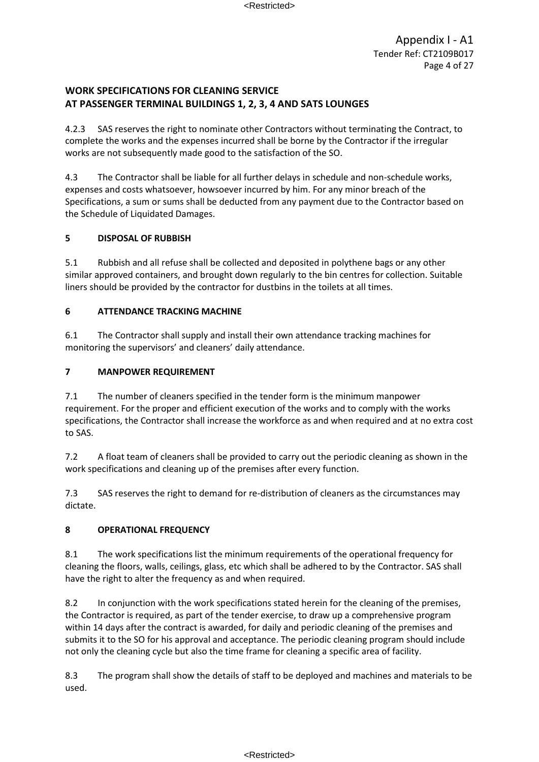4.2.3 SAS reserves the right to nominate other Contractors without terminating the Contract, to complete the works and the expenses incurred shall be borne by the Contractor if the irregular works are not subsequently made good to the satisfaction of the SO.

4.3 The Contractor shall be liable for all further delays in schedule and non-schedule works, expenses and costs whatsoever, howsoever incurred by him. For any minor breach of the Specifications, a sum or sums shall be deducted from any payment due to the Contractor based on the Schedule of Liquidated Damages.

### **5 DISPOSAL OF RUBBISH**

5.1 Rubbish and all refuse shall be collected and deposited in polythene bags or any other similar approved containers, and brought down regularly to the bin centres for collection. Suitable liners should be provided by the contractor for dustbins in the toilets at all times.

### **6 ATTENDANCE TRACKING MACHINE**

6.1 The Contractor shall supply and install their own attendance tracking machines for monitoring the supervisors' and cleaners' daily attendance.

## **7 MANPOWER REQUIREMENT**

7.1 The number of cleaners specified in the tender form is the minimum manpower requirement. For the proper and efficient execution of the works and to comply with the works specifications, the Contractor shall increase the workforce as and when required and at no extra cost to SAS.

7.2 A float team of cleaners shall be provided to carry out the periodic cleaning as shown in the work specifications and cleaning up of the premises after every function.

7.3 SAS reserves the right to demand for re-distribution of cleaners as the circumstances may dictate.

### **8 OPERATIONAL FREQUENCY**

8.1 The work specifications list the minimum requirements of the operational frequency for cleaning the floors, walls, ceilings, glass, etc which shall be adhered to by the Contractor. SAS shall have the right to alter the frequency as and when required.

8.2 In conjunction with the work specifications stated herein for the cleaning of the premises, the Contractor is required, as part of the tender exercise, to draw up a comprehensive program within 14 days after the contract is awarded, for daily and periodic cleaning of the premises and submits it to the SO for his approval and acceptance. The periodic cleaning program should include not only the cleaning cycle but also the time frame for cleaning a specific area of facility.

8.3 The program shall show the details of staff to be deployed and machines and materials to be used.

#### <Restricted>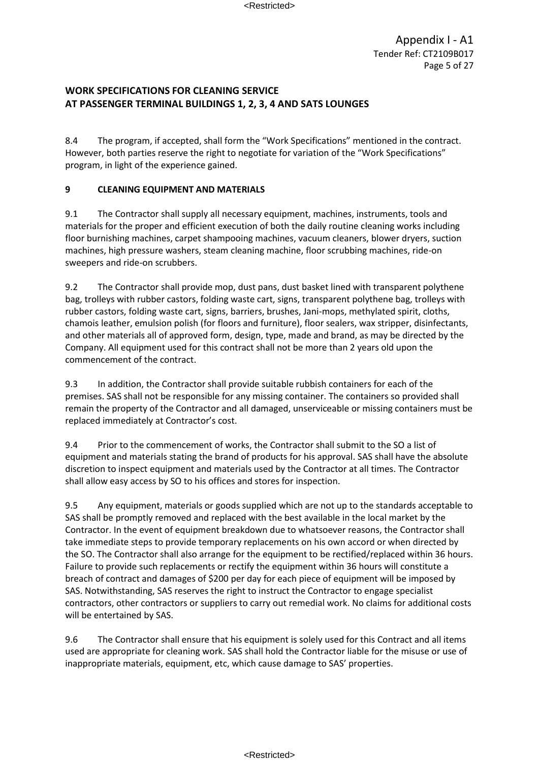8.4 The program, if accepted, shall form the "Work Specifications" mentioned in the contract. However, both parties reserve the right to negotiate for variation of the "Work Specifications" program, in light of the experience gained.

### **9 CLEANING EQUIPMENT AND MATERIALS**

9.1 The Contractor shall supply all necessary equipment, machines, instruments, tools and materials for the proper and efficient execution of both the daily routine cleaning works including floor burnishing machines, carpet shampooing machines, vacuum cleaners, blower dryers, suction machines, high pressure washers, steam cleaning machine, floor scrubbing machines, ride-on sweepers and ride-on scrubbers.

9.2 The Contractor shall provide mop, dust pans, dust basket lined with transparent polythene bag, trolleys with rubber castors, folding waste cart, signs, transparent polythene bag, trolleys with rubber castors, folding waste cart, signs, barriers, brushes, Jani-mops, methylated spirit, cloths, chamois leather, emulsion polish (for floors and furniture), floor sealers, wax stripper, disinfectants, and other materials all of approved form, design, type, made and brand, as may be directed by the Company. All equipment used for this contract shall not be more than 2 years old upon the commencement of the contract.

9.3 In addition, the Contractor shall provide suitable rubbish containers for each of the premises. SAS shall not be responsible for any missing container. The containers so provided shall remain the property of the Contractor and all damaged, unserviceable or missing containers must be replaced immediately at Contractor's cost.

9.4 Prior to the commencement of works, the Contractor shall submit to the SO a list of equipment and materials stating the brand of products for his approval. SAS shall have the absolute discretion to inspect equipment and materials used by the Contractor at all times. The Contractor shall allow easy access by SO to his offices and stores for inspection.

9.5 Any equipment, materials or goods supplied which are not up to the standards acceptable to SAS shall be promptly removed and replaced with the best available in the local market by the Contractor. In the event of equipment breakdown due to whatsoever reasons, the Contractor shall take immediate steps to provide temporary replacements on his own accord or when directed by the SO. The Contractor shall also arrange for the equipment to be rectified/replaced within 36 hours. Failure to provide such replacements or rectify the equipment within 36 hours will constitute a breach of contract and damages of \$200 per day for each piece of equipment will be imposed by SAS. Notwithstanding, SAS reserves the right to instruct the Contractor to engage specialist contractors, other contractors or suppliers to carry out remedial work. No claims for additional costs will be entertained by SAS.

9.6 The Contractor shall ensure that his equipment is solely used for this Contract and all items used are appropriate for cleaning work. SAS shall hold the Contractor liable for the misuse or use of inappropriate materials, equipment, etc, which cause damage to SAS' properties.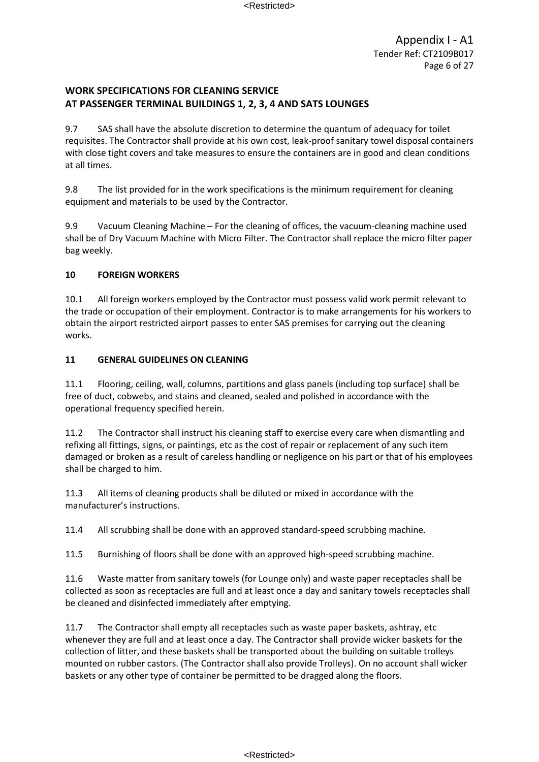9.7 SAS shall have the absolute discretion to determine the quantum of adequacy for toilet requisites. The Contractor shall provide at his own cost, leak-proof sanitary towel disposal containers with close tight covers and take measures to ensure the containers are in good and clean conditions at all times.

9.8 The list provided for in the work specifications is the minimum requirement for cleaning equipment and materials to be used by the Contractor.

9.9 Vacuum Cleaning Machine – For the cleaning of offices, the vacuum-cleaning machine used shall be of Dry Vacuum Machine with Micro Filter. The Contractor shall replace the micro filter paper bag weekly.

### **10 FOREIGN WORKERS**

10.1 All foreign workers employed by the Contractor must possess valid work permit relevant to the trade or occupation of their employment. Contractor is to make arrangements for his workers to obtain the airport restricted airport passes to enter SAS premises for carrying out the cleaning works.

### **11 GENERAL GUIDELINES ON CLEANING**

11.1 Flooring, ceiling, wall, columns, partitions and glass panels (including top surface) shall be free of duct, cobwebs, and stains and cleaned, sealed and polished in accordance with the operational frequency specified herein.

11.2 The Contractor shall instruct his cleaning staff to exercise every care when dismantling and refixing all fittings, signs, or paintings, etc as the cost of repair or replacement of any such item damaged or broken as a result of careless handling or negligence on his part or that of his employees shall be charged to him.

11.3 All items of cleaning products shall be diluted or mixed in accordance with the manufacturer's instructions.

11.4 All scrubbing shall be done with an approved standard-speed scrubbing machine.

11.5 Burnishing of floors shall be done with an approved high-speed scrubbing machine.

11.6 Waste matter from sanitary towels (for Lounge only) and waste paper receptacles shall be collected as soon as receptacles are full and at least once a day and sanitary towels receptacles shall be cleaned and disinfected immediately after emptying.

11.7 The Contractor shall empty all receptacles such as waste paper baskets, ashtray, etc whenever they are full and at least once a day. The Contractor shall provide wicker baskets for the collection of litter, and these baskets shall be transported about the building on suitable trolleys mounted on rubber castors. (The Contractor shall also provide Trolleys). On no account shall wicker baskets or any other type of container be permitted to be dragged along the floors.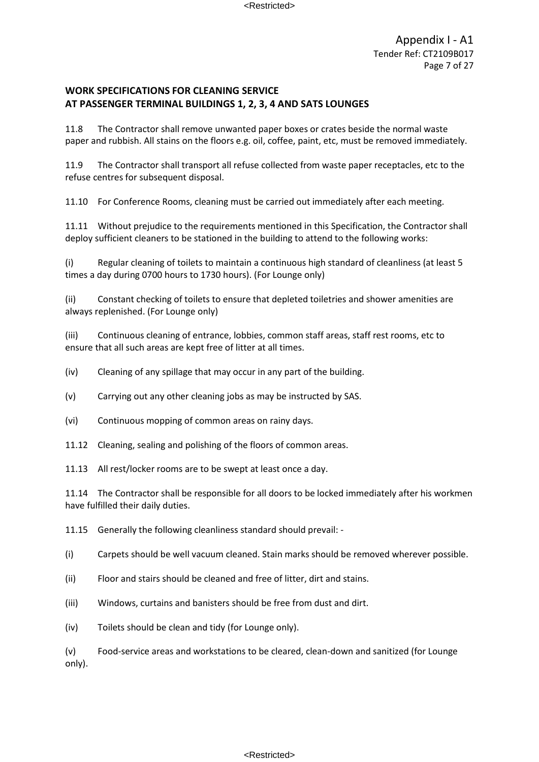11.8 The Contractor shall remove unwanted paper boxes or crates beside the normal waste paper and rubbish. All stains on the floors e.g. oil, coffee, paint, etc, must be removed immediately.

11.9 The Contractor shall transport all refuse collected from waste paper receptacles, etc to the refuse centres for subsequent disposal.

11.10 For Conference Rooms, cleaning must be carried out immediately after each meeting.

11.11 Without prejudice to the requirements mentioned in this Specification, the Contractor shall deploy sufficient cleaners to be stationed in the building to attend to the following works:

(i) Regular cleaning of toilets to maintain a continuous high standard of cleanliness (at least 5 times a day during 0700 hours to 1730 hours). (For Lounge only)

(ii) Constant checking of toilets to ensure that depleted toiletries and shower amenities are always replenished. (For Lounge only)

(iii) Continuous cleaning of entrance, lobbies, common staff areas, staff rest rooms, etc to ensure that all such areas are kept free of litter at all times.

(iv) Cleaning of any spillage that may occur in any part of the building.

(v) Carrying out any other cleaning jobs as may be instructed by SAS.

(vi) Continuous mopping of common areas on rainy days.

11.12 Cleaning, sealing and polishing of the floors of common areas.

11.13 All rest/locker rooms are to be swept at least once a day.

11.14 The Contractor shall be responsible for all doors to be locked immediately after his workmen have fulfilled their daily duties.

11.15 Generally the following cleanliness standard should prevail: -

(i) Carpets should be well vacuum cleaned. Stain marks should be removed wherever possible.

(ii) Floor and stairs should be cleaned and free of litter, dirt and stains.

(iii) Windows, curtains and banisters should be free from dust and dirt.

(iv) Toilets should be clean and tidy (for Lounge only).

(v) Food-service areas and workstations to be cleared, clean-down and sanitized (for Lounge only).

#### <Restricted>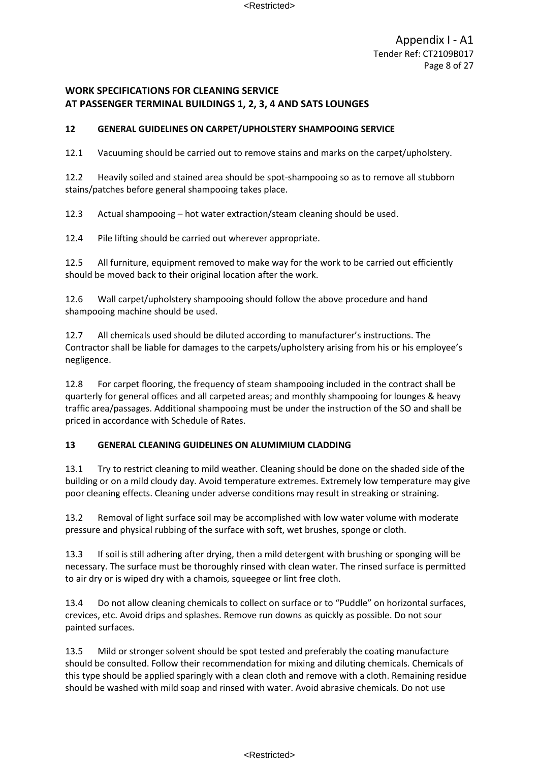### **12 GENERAL GUIDELINES ON CARPET/UPHOLSTERY SHAMPOOING SERVICE**

12.1 Vacuuming should be carried out to remove stains and marks on the carpet/upholstery.

12.2 Heavily soiled and stained area should be spot-shampooing so as to remove all stubborn stains/patches before general shampooing takes place.

12.3 Actual shampooing – hot water extraction/steam cleaning should be used.

12.4 Pile lifting should be carried out wherever appropriate.

12.5 All furniture, equipment removed to make way for the work to be carried out efficiently should be moved back to their original location after the work.

12.6 Wall carpet/upholstery shampooing should follow the above procedure and hand shampooing machine should be used.

12.7 All chemicals used should be diluted according to manufacturer's instructions. The Contractor shall be liable for damages to the carpets/upholstery arising from his or his employee's negligence.

12.8 For carpet flooring, the frequency of steam shampooing included in the contract shall be quarterly for general offices and all carpeted areas; and monthly shampooing for lounges & heavy traffic area/passages. Additional shampooing must be under the instruction of the SO and shall be priced in accordance with Schedule of Rates.

#### **13 GENERAL CLEANING GUIDELINES ON ALUMIMIUM CLADDING**

13.1 Try to restrict cleaning to mild weather. Cleaning should be done on the shaded side of the building or on a mild cloudy day. Avoid temperature extremes. Extremely low temperature may give poor cleaning effects. Cleaning under adverse conditions may result in streaking or straining.

13.2 Removal of light surface soil may be accomplished with low water volume with moderate pressure and physical rubbing of the surface with soft, wet brushes, sponge or cloth.

13.3 If soil is still adhering after drying, then a mild detergent with brushing or sponging will be necessary. The surface must be thoroughly rinsed with clean water. The rinsed surface is permitted to air dry or is wiped dry with a chamois, squeegee or lint free cloth.

13.4 Do not allow cleaning chemicals to collect on surface or to "Puddle" on horizontal surfaces, crevices, etc. Avoid drips and splashes. Remove run downs as quickly as possible. Do not sour painted surfaces.

13.5 Mild or stronger solvent should be spot tested and preferably the coating manufacture should be consulted. Follow their recommendation for mixing and diluting chemicals. Chemicals of this type should be applied sparingly with a clean cloth and remove with a cloth. Remaining residue should be washed with mild soap and rinsed with water. Avoid abrasive chemicals. Do not use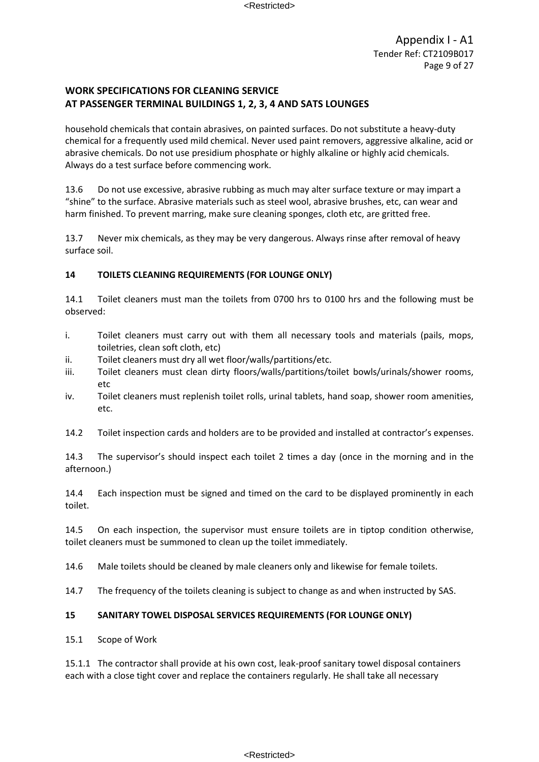household chemicals that contain abrasives, on painted surfaces. Do not substitute a heavy-duty chemical for a frequently used mild chemical. Never used paint removers, aggressive alkaline, acid or abrasive chemicals. Do not use presidium phosphate or highly alkaline or highly acid chemicals. Always do a test surface before commencing work.

13.6 Do not use excessive, abrasive rubbing as much may alter surface texture or may impart a "shine" to the surface. Abrasive materials such as steel wool, abrasive brushes, etc, can wear and harm finished. To prevent marring, make sure cleaning sponges, cloth etc, are gritted free.

13.7 Never mix chemicals, as they may be very dangerous. Always rinse after removal of heavy surface soil.

### **14 TOILETS CLEANING REQUIREMENTS (FOR LOUNGE ONLY)**

14.1 Toilet cleaners must man the toilets from 0700 hrs to 0100 hrs and the following must be observed:

- i. Toilet cleaners must carry out with them all necessary tools and materials (pails, mops, toiletries, clean soft cloth, etc)
- ii. Toilet cleaners must dry all wet floor/walls/partitions/etc.
- iii. Toilet cleaners must clean dirty floors/walls/partitions/toilet bowls/urinals/shower rooms, etc
- iv. Toilet cleaners must replenish toilet rolls, urinal tablets, hand soap, shower room amenities, etc.
- 14.2 Toilet inspection cards and holders are to be provided and installed at contractor's expenses.

14.3 The supervisor's should inspect each toilet 2 times a day (once in the morning and in the afternoon.)

14.4 Each inspection must be signed and timed on the card to be displayed prominently in each toilet.

14.5 On each inspection, the supervisor must ensure toilets are in tiptop condition otherwise, toilet cleaners must be summoned to clean up the toilet immediately.

14.6 Male toilets should be cleaned by male cleaners only and likewise for female toilets.

14.7 The frequency of the toilets cleaning is subject to change as and when instructed by SAS.

#### **15 SANITARY TOWEL DISPOSAL SERVICES REQUIREMENTS (FOR LOUNGE ONLY)**

15.1 Scope of Work

15.1.1 The contractor shall provide at his own cost, leak-proof sanitary towel disposal containers each with a close tight cover and replace the containers regularly. He shall take all necessary

#### <Restricted>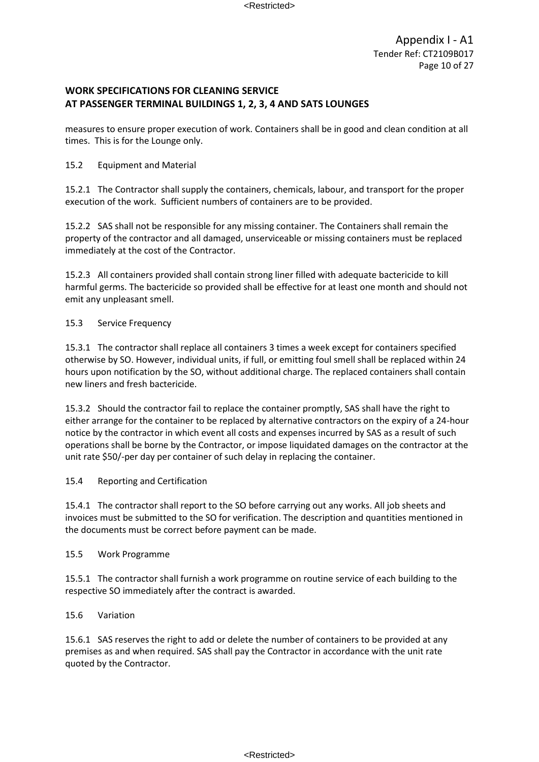measures to ensure proper execution of work. Containers shall be in good and clean condition at all times. This is for the Lounge only.

### 15.2 Equipment and Material

15.2.1 The Contractor shall supply the containers, chemicals, labour, and transport for the proper execution of the work. Sufficient numbers of containers are to be provided.

15.2.2 SAS shall not be responsible for any missing container. The Containers shall remain the property of the contractor and all damaged, unserviceable or missing containers must be replaced immediately at the cost of the Contractor.

15.2.3 All containers provided shall contain strong liner filled with adequate bactericide to kill harmful germs. The bactericide so provided shall be effective for at least one month and should not emit any unpleasant smell.

### 15.3 Service Frequency

15.3.1 The contractor shall replace all containers 3 times a week except for containers specified otherwise by SO. However, individual units, if full, or emitting foul smell shall be replaced within 24 hours upon notification by the SO, without additional charge. The replaced containers shall contain new liners and fresh bactericide.

15.3.2 Should the contractor fail to replace the container promptly, SAS shall have the right to either arrange for the container to be replaced by alternative contractors on the expiry of a 24-hour notice by the contractor in which event all costs and expenses incurred by SAS as a result of such operations shall be borne by the Contractor, or impose liquidated damages on the contractor at the unit rate \$50/-per day per container of such delay in replacing the container.

#### 15.4 Reporting and Certification

15.4.1 The contractor shall report to the SO before carrying out any works. All job sheets and invoices must be submitted to the SO for verification. The description and quantities mentioned in the documents must be correct before payment can be made.

#### 15.5 Work Programme

15.5.1 The contractor shall furnish a work programme on routine service of each building to the respective SO immediately after the contract is awarded.

#### 15.6 Variation

15.6.1 SAS reserves the right to add or delete the number of containers to be provided at any premises as and when required. SAS shall pay the Contractor in accordance with the unit rate quoted by the Contractor.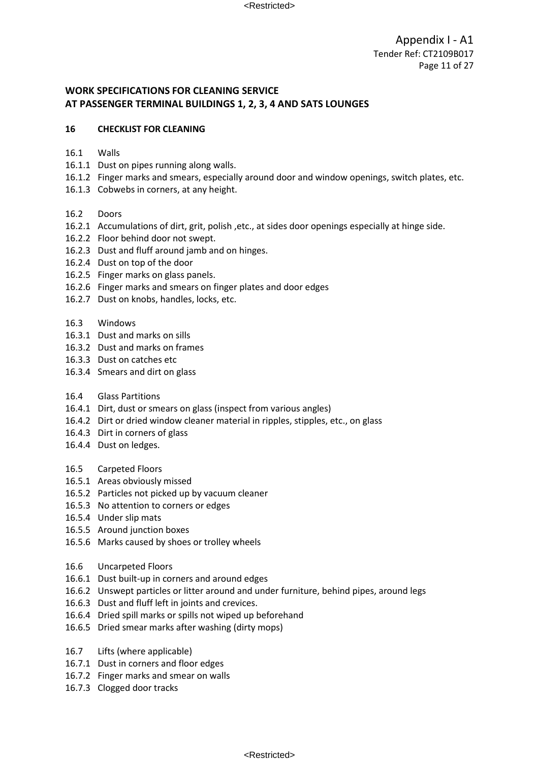#### **16 CHECKLIST FOR CLEANING**

- 16.1 Walls
- 16.1.1 Dust on pipes running along walls.
- 16.1.2 Finger marks and smears, especially around door and window openings, switch plates, etc.
- 16.1.3 Cobwebs in corners, at any height.
- 16.2 Doors
- 16.2.1 Accumulations of dirt, grit, polish ,etc., at sides door openings especially at hinge side.
- 16.2.2 Floor behind door not swept.
- 16.2.3 Dust and fluff around jamb and on hinges.
- 16.2.4 Dust on top of the door
- 16.2.5 Finger marks on glass panels.
- 16.2.6 Finger marks and smears on finger plates and door edges
- 16.2.7 Dust on knobs, handles, locks, etc.
- 16.3 Windows
- 16.3.1 Dust and marks on sills
- 16.3.2 Dust and marks on frames
- 16.3.3 Dust on catches etc
- 16.3.4 Smears and dirt on glass
- 16.4 Glass Partitions
- 16.4.1 Dirt, dust or smears on glass (inspect from various angles)
- 16.4.2 Dirt or dried window cleaner material in ripples, stipples, etc., on glass
- 16.4.3 Dirt in corners of glass
- 16.4.4 Dust on ledges.
- 16.5 Carpeted Floors
- 16.5.1 Areas obviously missed
- 16.5.2 Particles not picked up by vacuum cleaner
- 16.5.3 No attention to corners or edges
- 16.5.4 Under slip mats
- 16.5.5 Around junction boxes
- 16.5.6 Marks caused by shoes or trolley wheels
- 16.6 Uncarpeted Floors
- 16.6.1 Dust built-up in corners and around edges
- 16.6.2 Unswept particles or litter around and under furniture, behind pipes, around legs
- 16.6.3 Dust and fluff left in joints and crevices.
- 16.6.4 Dried spill marks or spills not wiped up beforehand
- 16.6.5 Dried smear marks after washing (dirty mops)
- 16.7 Lifts (where applicable)
- 16.7.1 Dust in corners and floor edges
- 16.7.2 Finger marks and smear on walls
- 16.7.3 Clogged door tracks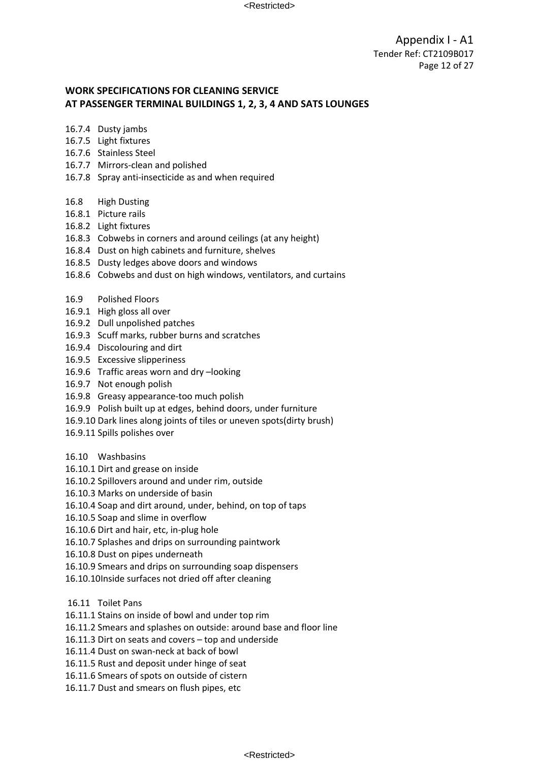- 16.7.4 Dusty jambs
- 16.7.5 Light fixtures
- 16.7.6 Stainless Steel
- 16.7.7 Mirrors-clean and polished
- 16.7.8 Spray anti-insecticide as and when required
- 16.8 High Dusting
- 16.8.1 Picture rails
- 16.8.2 Light fixtures
- 16.8.3 Cobwebs in corners and around ceilings (at any height)
- 16.8.4 Dust on high cabinets and furniture, shelves
- 16.8.5 Dusty ledges above doors and windows
- 16.8.6 Cobwebs and dust on high windows, ventilators, and curtains
- 16.9 Polished Floors
- 16.9.1 High gloss all over
- 16.9.2 Dull unpolished patches
- 16.9.3 Scuff marks, rubber burns and scratches
- 16.9.4 Discolouring and dirt
- 16.9.5 Excessive slipperiness
- 16.9.6 Traffic areas worn and dry –looking
- 16.9.7 Not enough polish
- 16.9.8 Greasy appearance-too much polish
- 16.9.9 Polish built up at edges, behind doors, under furniture
- 16.9.10 Dark lines along joints of tiles or uneven spots(dirty brush)
- 16.9.11 Spills polishes over
- 16.10 Washbasins
- 16.10.1 Dirt and grease on inside
- 16.10.2 Spillovers around and under rim, outside
- 16.10.3 Marks on underside of basin
- 16.10.4 Soap and dirt around, under, behind, on top of taps
- 16.10.5 Soap and slime in overflow
- 16.10.6 Dirt and hair, etc, in-plug hole
- 16.10.7 Splashes and drips on surrounding paintwork
- 16.10.8 Dust on pipes underneath
- 16.10.9 Smears and drips on surrounding soap dispensers
- 16.10.10Inside surfaces not dried off after cleaning
- 16.11 Toilet Pans
- 16.11.1 Stains on inside of bowl and under top rim
- 16.11.2 Smears and splashes on outside: around base and floor line
- 16.11.3 Dirt on seats and covers top and underside
- 16.11.4 Dust on swan-neck at back of bowl
- 16.11.5 Rust and deposit under hinge of seat
- 16.11.6 Smears of spots on outside of cistern
- 16.11.7 Dust and smears on flush pipes, etc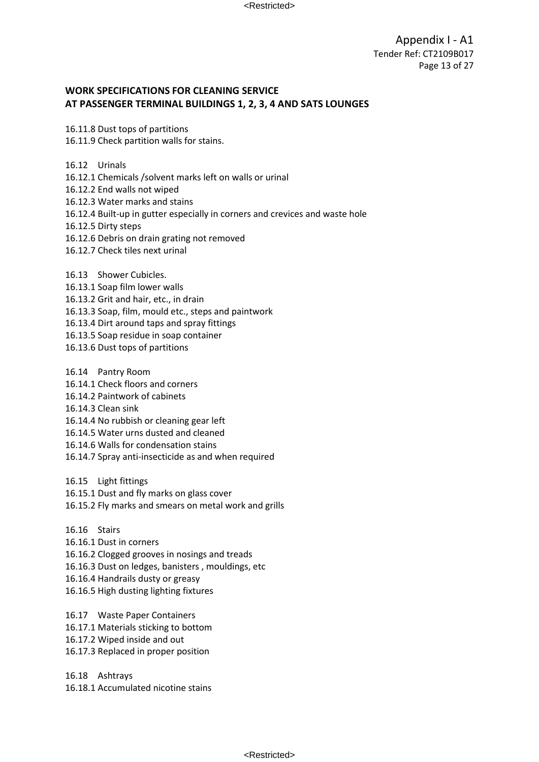Appendix I - A1 Tender Ref: CT2109B017 Page 13 of 27

### **WORK SPECIFICATIONS FOR CLEANING SERVICE AT PASSENGER TERMINAL BUILDINGS 1, 2, 3, 4 AND SATS LOUNGES**

16.11.8 Dust tops of partitions

16.11.9 Check partition walls for stains.

16.12 Urinals

- 16.12.1 Chemicals /solvent marks left on walls or urinal
- 16.12.2 End walls not wiped
- 16.12.3 Water marks and stains
- 16.12.4 Built-up in gutter especially in corners and crevices and waste hole
- 16.12.5 Dirty steps
- 16.12.6 Debris on drain grating not removed
- 16.12.7 Check tiles next urinal

16.13 Shower Cubicles.

- 16.13.1 Soap film lower walls
- 16.13.2 Grit and hair, etc., in drain
- 16.13.3 Soap, film, mould etc., steps and paintwork
- 16.13.4 Dirt around taps and spray fittings
- 16.13.5 Soap residue in soap container
- 16.13.6 Dust tops of partitions
- 16.14 Pantry Room
- 16.14.1 Check floors and corners
- 16.14.2 Paintwork of cabinets
- 16.14.3 Clean sink
- 16.14.4 No rubbish or cleaning gear left
- 16.14.5 Water urns dusted and cleaned
- 16.14.6 Walls for condensation stains
- 16.14.7 Spray anti-insecticide as and when required

16.15 Light fittings

16.15.1 Dust and fly marks on glass cover

16.15.2 Fly marks and smears on metal work and grills

- 16.16 Stairs
- 16.16.1 Dust in corners 16.16.2 Clogged grooves in nosings and treads 16.16.3 Dust on ledges, banisters , mouldings, etc 16.16.4 Handrails dusty or greasy 16.16.5 High dusting lighting fixtures

16.17 Waste Paper Containers 16.17.1 Materials sticking to bottom 16.17.2 Wiped inside and out 16.17.3 Replaced in proper position

16.18 Ashtrays 16.18.1 Accumulated nicotine stains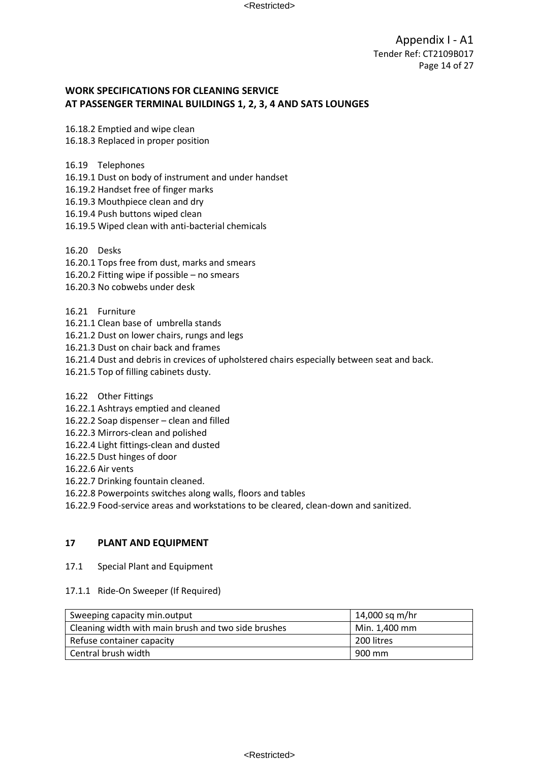16.18.2 Emptied and wipe clean

16.18.3 Replaced in proper position

16.19 Telephones

- 16.19.1 Dust on body of instrument and under handset
- 16.19.2 Handset free of finger marks
- 16.19.3 Mouthpiece clean and dry
- 16.19.4 Push buttons wiped clean
- 16.19.5 Wiped clean with anti-bacterial chemicals

16.20 Desks

- 16.20.1 Tops free from dust, marks and smears
- 16.20.2 Fitting wipe if possible no smears
- 16.20.3 No cobwebs under desk
- 16.21 Furniture
- 16.21.1 Clean base of umbrella stands
- 16.21.2 Dust on lower chairs, rungs and legs
- 16.21.3 Dust on chair back and frames
- 16.21.4 Dust and debris in crevices of upholstered chairs especially between seat and back.
- 16.21.5 Top of filling cabinets dusty.

16.22 Other Fittings

- 16.22.1 Ashtrays emptied and cleaned
- 16.22.2 Soap dispenser clean and filled
- 16.22.3 Mirrors-clean and polished
- 16.22.4 Light fittings-clean and dusted
- 16.22.5 Dust hinges of door
- 16.22.6 Air vents
- 16.22.7 Drinking fountain cleaned.
- 16.22.8 Powerpoints switches along walls, floors and tables

16.22.9 Food-service areas and workstations to be cleared, clean-down and sanitized.

### **17 PLANT AND EQUIPMENT**

17.1 Special Plant and Equipment

#### 17.1.1 Ride-On Sweeper (If Required)

| Sweeping capacity min.output                        | 14,000 sq m/hr |
|-----------------------------------------------------|----------------|
| Cleaning width with main brush and two side brushes | Min. 1,400 mm  |
| Refuse container capacity                           | 200 litres     |
| Central brush width                                 | 900 mm         |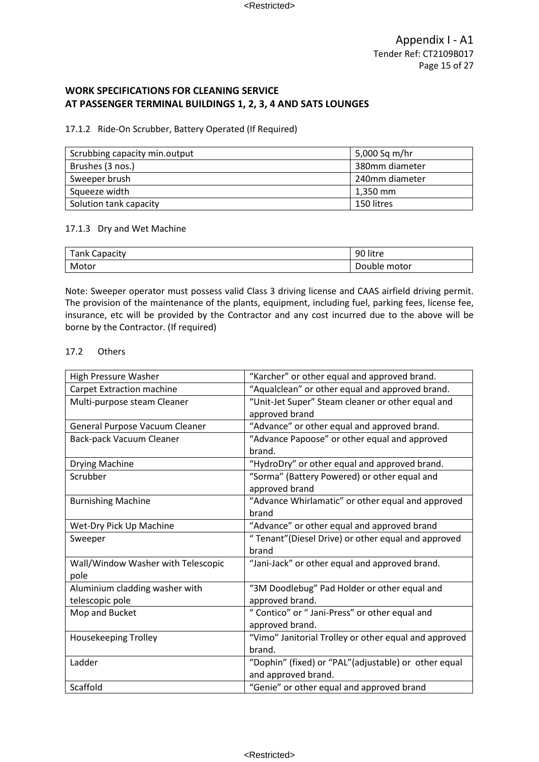#### 17.1.2 Ride-On Scrubber, Battery Operated (If Required)

| Scrubbing capacity min.output | 5,000 Sq m/hr  |
|-------------------------------|----------------|
| Brushes (3 nos.)              | 380mm diameter |
| Sweeper brush                 | 240mm diameter |
| Squeeze width                 | 1,350 mm       |
| Solution tank capacity        | 150 litres     |

#### 17.1.3 Dry and Wet Machine

| <b>Tank Capacity</b> | 90 litre     |
|----------------------|--------------|
| Motor                | Double motor |

Note: Sweeper operator must possess valid Class 3 driving license and CAAS airfield driving permit. The provision of the maintenance of the plants, equipment, including fuel, parking fees, license fee, insurance, etc will be provided by the Contractor and any cost incurred due to the above will be borne by the Contractor. (If required)

### 17.2 Others

| High Pressure Washer               | "Karcher" or other equal and approved brand.          |
|------------------------------------|-------------------------------------------------------|
| Carpet Extraction machine          | "Aqualclean" or other equal and approved brand.       |
| Multi-purpose steam Cleaner        | "Unit-Jet Super" Steam cleaner or other equal and     |
|                                    | approved brand                                        |
| General Purpose Vacuum Cleaner     | "Advance" or other equal and approved brand.          |
| Back-pack Vacuum Cleaner           | "Advance Papoose" or other equal and approved         |
|                                    | brand.                                                |
| Drying Machine                     | "HydroDry" or other equal and approved brand.         |
| Scrubber                           | "Sorma" (Battery Powered) or other equal and          |
|                                    | approved brand                                        |
| <b>Burnishing Machine</b>          | "Advance Whirlamatic" or other equal and approved     |
|                                    | brand                                                 |
| Wet-Dry Pick Up Machine            | "Advance" or other equal and approved brand           |
| Sweeper                            | "Tenant"(Diesel Drive) or other equal and approved    |
|                                    | brand                                                 |
| Wall/Window Washer with Telescopic | "Jani-Jack" or other equal and approved brand.        |
| pole                               |                                                       |
| Aluminium cladding washer with     | "3M Doodlebug" Pad Holder or other equal and          |
| telescopic pole                    | approved brand.                                       |
| Mop and Bucket                     | " Contico" or " Jani-Press" or other equal and        |
|                                    | approved brand.                                       |
| Housekeeping Trolley               | "Vimo" Janitorial Trolley or other equal and approved |
|                                    | brand.                                                |
| Ladder                             | "Dophin" (fixed) or "PAL"(adjustable) or other equal  |
|                                    | and approved brand.                                   |
| Scaffold                           | "Genie" or other equal and approved brand             |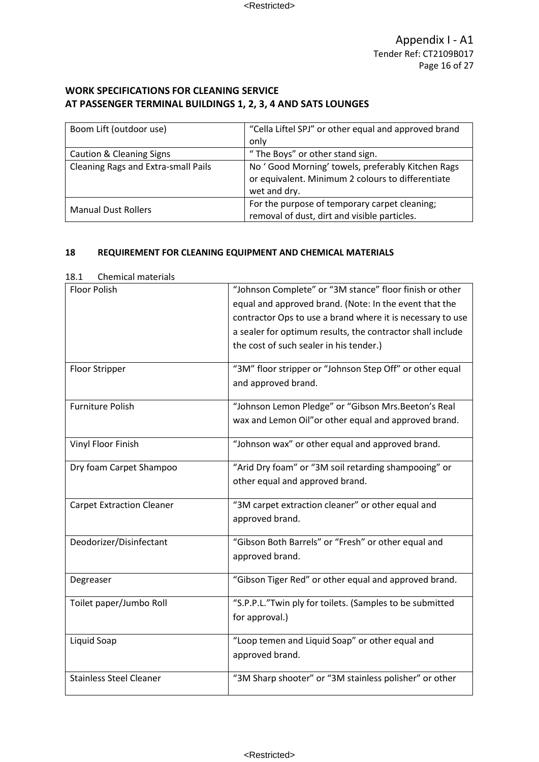| Boom Lift (outdoor use)                    | "Cella Liftel SPJ" or other equal and approved brand                                                                    |
|--------------------------------------------|-------------------------------------------------------------------------------------------------------------------------|
|                                            | only                                                                                                                    |
| Caution & Cleaning Signs                   | " The Boys" or other stand sign.                                                                                        |
| <b>Cleaning Rags and Extra-small Pails</b> | No ' Good Morning' towels, preferably Kitchen Rags<br>or equivalent. Minimum 2 colours to differentiate<br>wet and dry. |
| <b>Manual Dust Rollers</b>                 | For the purpose of temporary carpet cleaning;<br>removal of dust, dirt and visible particles.                           |

### **18 REQUIREMENT FOR CLEANING EQUIPMENT AND CHEMICAL MATERIALS**

| <b>Floor Polish</b>              | "Johnson Complete" or "3M stance" floor finish or other    |
|----------------------------------|------------------------------------------------------------|
|                                  | equal and approved brand. (Note: In the event that the     |
|                                  | contractor Ops to use a brand where it is necessary to use |
|                                  | a sealer for optimum results, the contractor shall include |
|                                  | the cost of such sealer in his tender.)                    |
|                                  |                                                            |
| Floor Stripper                   | "3M" floor stripper or "Johnson Step Off" or other equal   |
|                                  | and approved brand.                                        |
| <b>Furniture Polish</b>          | "Johnson Lemon Pledge" or "Gibson Mrs.Beeton's Real        |
|                                  | wax and Lemon Oil" or other equal and approved brand.      |
| Vinyl Floor Finish               | "Johnson wax" or other equal and approved brand.           |
| Dry foam Carpet Shampoo          | "Arid Dry foam" or "3M soil retarding shampooing" or       |
|                                  | other equal and approved brand.                            |
| <b>Carpet Extraction Cleaner</b> | "3M carpet extraction cleaner" or other equal and          |
|                                  | approved brand.                                            |
| Deodorizer/Disinfectant          | "Gibson Both Barrels" or "Fresh" or other equal and        |
|                                  | approved brand.                                            |
| Degreaser                        | "Gibson Tiger Red" or other equal and approved brand.      |
| Toilet paper/Jumbo Roll          | "S.P.P.L."Twin ply for toilets. (Samples to be submitted   |
|                                  | for approval.)                                             |
| Liquid Soap                      | "Loop temen and Liquid Soap" or other equal and            |
|                                  | approved brand.                                            |
| <b>Stainless Steel Cleaner</b>   | "3M Sharp shooter" or "3M stainless polisher" or other     |
|                                  |                                                            |

18.1 Chemical materials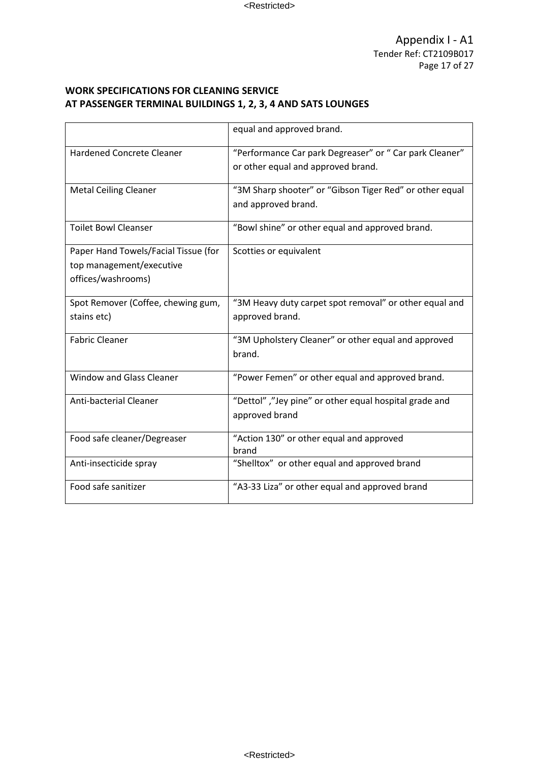<Restricted>

|                                                                                        | equal and approved brand.                                                                     |
|----------------------------------------------------------------------------------------|-----------------------------------------------------------------------------------------------|
| <b>Hardened Concrete Cleaner</b>                                                       | "Performance Car park Degreaser" or " Car park Cleaner"<br>or other equal and approved brand. |
| <b>Metal Ceiling Cleaner</b>                                                           | "3M Sharp shooter" or "Gibson Tiger Red" or other equal<br>and approved brand.                |
| <b>Toilet Bowl Cleanser</b>                                                            | "Bowl shine" or other equal and approved brand.                                               |
| Paper Hand Towels/Facial Tissue (for<br>top management/executive<br>offices/washrooms) | Scotties or equivalent                                                                        |
| Spot Remover (Coffee, chewing gum,<br>stains etc)                                      | "3M Heavy duty carpet spot removal" or other equal and<br>approved brand.                     |
| <b>Fabric Cleaner</b>                                                                  | "3M Upholstery Cleaner" or other equal and approved<br>brand.                                 |
| <b>Window and Glass Cleaner</b>                                                        | "Power Femen" or other equal and approved brand.                                              |
| <b>Anti-bacterial Cleaner</b>                                                          | "Dettol","Jey pine" or other equal hospital grade and<br>approved brand                       |
| Food safe cleaner/Degreaser                                                            | "Action 130" or other equal and approved<br>brand                                             |
| Anti-insecticide spray                                                                 | "Shelltox" or other equal and approved brand                                                  |
| Food safe sanitizer                                                                    | "A3-33 Liza" or other equal and approved brand                                                |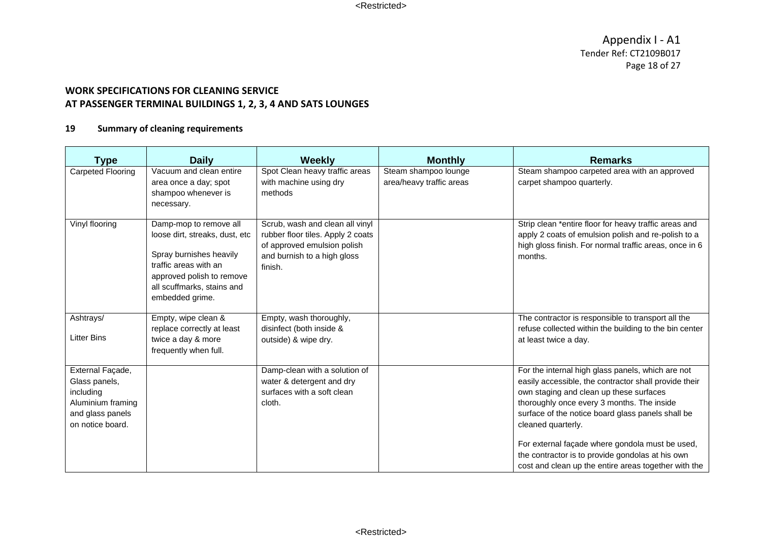### **19 Summary of cleaning requirements**

| Type                                                                                                        | <b>Daily</b>                                                                                                                                                                               | Weekly                                                                                                                                        | <b>Monthly</b>                                   | <b>Remarks</b>                                                                                                                                                                                                                                                                                                                                                                                                                                |
|-------------------------------------------------------------------------------------------------------------|--------------------------------------------------------------------------------------------------------------------------------------------------------------------------------------------|-----------------------------------------------------------------------------------------------------------------------------------------------|--------------------------------------------------|-----------------------------------------------------------------------------------------------------------------------------------------------------------------------------------------------------------------------------------------------------------------------------------------------------------------------------------------------------------------------------------------------------------------------------------------------|
| Carpeted Flooring                                                                                           | Vacuum and clean entire<br>area once a day; spot<br>shampoo whenever is<br>necessary.                                                                                                      | Spot Clean heavy traffic areas<br>with machine using dry<br>methods                                                                           | Steam shampoo lounge<br>area/heavy traffic areas | Steam shampoo carpeted area with an approved<br>carpet shampoo quarterly.                                                                                                                                                                                                                                                                                                                                                                     |
| Vinyl flooring                                                                                              | Damp-mop to remove all<br>loose dirt, streaks, dust, etc<br>Spray burnishes heavily<br>traffic areas with an<br>approved polish to remove<br>all scuffmarks, stains and<br>embedded grime. | Scrub, wash and clean all vinyl<br>rubber floor tiles. Apply 2 coats<br>of approved emulsion polish<br>and burnish to a high gloss<br>finish. |                                                  | Strip clean *entire floor for heavy traffic areas and<br>apply 2 coats of emulsion polish and re-polish to a<br>high gloss finish. For normal traffic areas, once in 6<br>months.                                                                                                                                                                                                                                                             |
| Ashtrays/<br><b>Litter Bins</b>                                                                             | Empty, wipe clean &<br>replace correctly at least<br>twice a day & more<br>frequently when full.                                                                                           | Empty, wash thoroughly,<br>disinfect (both inside &<br>outside) & wipe dry.                                                                   |                                                  | The contractor is responsible to transport all the<br>refuse collected within the building to the bin center<br>at least twice a day.                                                                                                                                                                                                                                                                                                         |
| External Façade,<br>Glass panels,<br>including<br>Aluminium framing<br>and glass panels<br>on notice board. |                                                                                                                                                                                            | Damp-clean with a solution of<br>water & detergent and dry<br>surfaces with a soft clean<br>cloth.                                            |                                                  | For the internal high glass panels, which are not<br>easily accessible, the contractor shall provide their<br>own staging and clean up these surfaces<br>thoroughly once every 3 months. The inside<br>surface of the notice board glass panels shall be<br>cleaned quarterly.<br>For external façade where gondola must be used,<br>the contractor is to provide gondolas at his own<br>cost and clean up the entire areas together with the |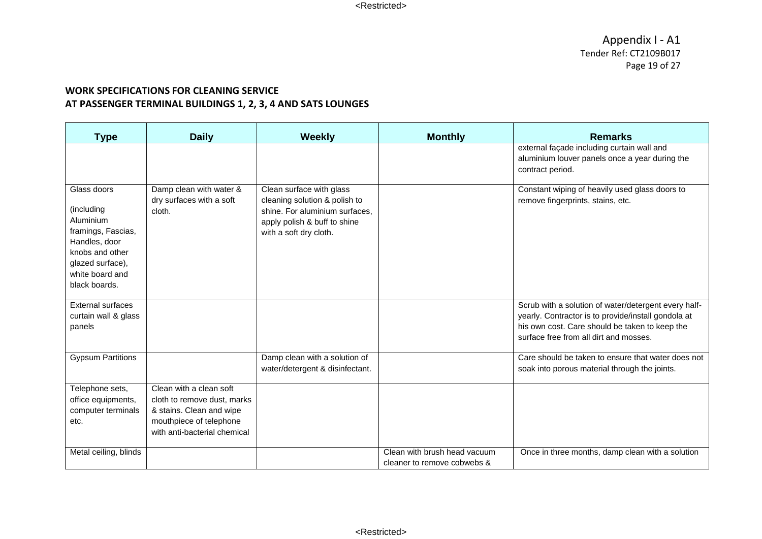| <b>Type</b>                                                                                                                                              | <b>Daily</b>                                                                                                                                  | <b>Weekly</b>                                                                                                                                         | <b>Monthly</b>                                              | <b>Remarks</b>                                                                                                                                                                                          |
|----------------------------------------------------------------------------------------------------------------------------------------------------------|-----------------------------------------------------------------------------------------------------------------------------------------------|-------------------------------------------------------------------------------------------------------------------------------------------------------|-------------------------------------------------------------|---------------------------------------------------------------------------------------------------------------------------------------------------------------------------------------------------------|
|                                                                                                                                                          |                                                                                                                                               |                                                                                                                                                       |                                                             | external façade including curtain wall and<br>aluminium louver panels once a year during the<br>contract period.                                                                                        |
| Glass doors<br>(including<br>Aluminium<br>framings, Fascias,<br>Handles, door<br>knobs and other<br>glazed surface),<br>white board and<br>black boards. | Damp clean with water &<br>dry surfaces with a soft<br>cloth.                                                                                 | Clean surface with glass<br>cleaning solution & polish to<br>shine. For aluminium surfaces,<br>apply polish & buff to shine<br>with a soft dry cloth. |                                                             | Constant wiping of heavily used glass doors to<br>remove fingerprints, stains, etc.                                                                                                                     |
| External surfaces<br>curtain wall & glass<br>panels                                                                                                      |                                                                                                                                               |                                                                                                                                                       |                                                             | Scrub with a solution of water/detergent every half-<br>yearly. Contractor is to provide/install gondola at<br>his own cost. Care should be taken to keep the<br>surface free from all dirt and mosses. |
| <b>Gypsum Partitions</b>                                                                                                                                 |                                                                                                                                               | Damp clean with a solution of<br>water/detergent & disinfectant.                                                                                      |                                                             | Care should be taken to ensure that water does not<br>soak into porous material through the joints.                                                                                                     |
| Telephone sets,<br>office equipments,<br>computer terminals<br>etc.                                                                                      | Clean with a clean soft<br>cloth to remove dust, marks<br>& stains. Clean and wipe<br>mouthpiece of telephone<br>with anti-bacterial chemical |                                                                                                                                                       |                                                             |                                                                                                                                                                                                         |
| Metal ceiling, blinds                                                                                                                                    |                                                                                                                                               |                                                                                                                                                       | Clean with brush head vacuum<br>cleaner to remove cobwebs & | Once in three months, damp clean with a solution                                                                                                                                                        |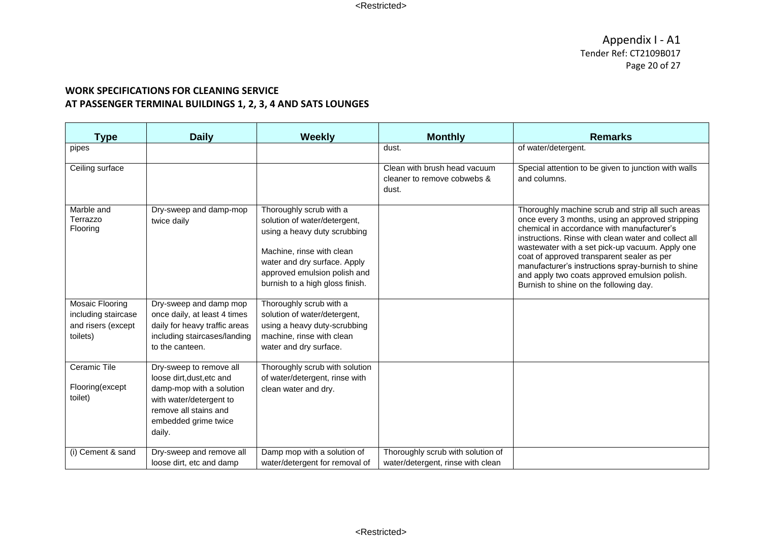| Type                                                                     | <b>Daily</b>                                                                                                                                                           | <b>Weekly</b>                                                                                                                                                                                                           | <b>Monthly</b>                                                         | <b>Remarks</b>                                                                                                                                                                                                                                                                                                                                                                                                                                                |
|--------------------------------------------------------------------------|------------------------------------------------------------------------------------------------------------------------------------------------------------------------|-------------------------------------------------------------------------------------------------------------------------------------------------------------------------------------------------------------------------|------------------------------------------------------------------------|---------------------------------------------------------------------------------------------------------------------------------------------------------------------------------------------------------------------------------------------------------------------------------------------------------------------------------------------------------------------------------------------------------------------------------------------------------------|
| pipes                                                                    |                                                                                                                                                                        |                                                                                                                                                                                                                         | dust.                                                                  | of water/detergent.                                                                                                                                                                                                                                                                                                                                                                                                                                           |
| Ceiling surface                                                          |                                                                                                                                                                        |                                                                                                                                                                                                                         | Clean with brush head vacuum<br>cleaner to remove cobwebs &<br>dust.   | Special attention to be given to junction with walls<br>and columns.                                                                                                                                                                                                                                                                                                                                                                                          |
| Marble and<br>Terrazzo<br>Flooring                                       | Dry-sweep and damp-mop<br>twice daily                                                                                                                                  | Thoroughly scrub with a<br>solution of water/detergent,<br>using a heavy duty scrubbing<br>Machine, rinse with clean<br>water and dry surface. Apply<br>approved emulsion polish and<br>burnish to a high gloss finish. |                                                                        | Thoroughly machine scrub and strip all such areas<br>once every 3 months, using an approved stripping<br>chemical in accordance with manufacturer's<br>instructions. Rinse with clean water and collect all<br>wastewater with a set pick-up vacuum. Apply one<br>coat of approved transparent sealer as per<br>manufacturer's instructions spray-burnish to shine<br>and apply two coats approved emulsion polish.<br>Burnish to shine on the following day. |
| Mosaic Flooring<br>including staircase<br>and risers (except<br>toilets) | Dry-sweep and damp mop<br>once daily, at least 4 times<br>daily for heavy traffic areas<br>including staircases/landing<br>to the canteen.                             | Thoroughly scrub with a<br>solution of water/detergent,<br>using a heavy duty-scrubbing<br>machine, rinse with clean<br>water and dry surface.                                                                          |                                                                        |                                                                                                                                                                                                                                                                                                                                                                                                                                                               |
| Ceramic Tile<br>Flooring(except<br>toilet)                               | Dry-sweep to remove all<br>loose dirt, dust, etc and<br>damp-mop with a solution<br>with water/detergent to<br>remove all stains and<br>embedded grime twice<br>daily. | Thoroughly scrub with solution<br>of water/detergent, rinse with<br>clean water and dry.                                                                                                                                |                                                                        |                                                                                                                                                                                                                                                                                                                                                                                                                                                               |
| (i) Cement & sand                                                        | Dry-sweep and remove all<br>loose dirt, etc and damp                                                                                                                   | Damp mop with a solution of<br>water/detergent for removal of                                                                                                                                                           | Thoroughly scrub with solution of<br>water/detergent, rinse with clean |                                                                                                                                                                                                                                                                                                                                                                                                                                                               |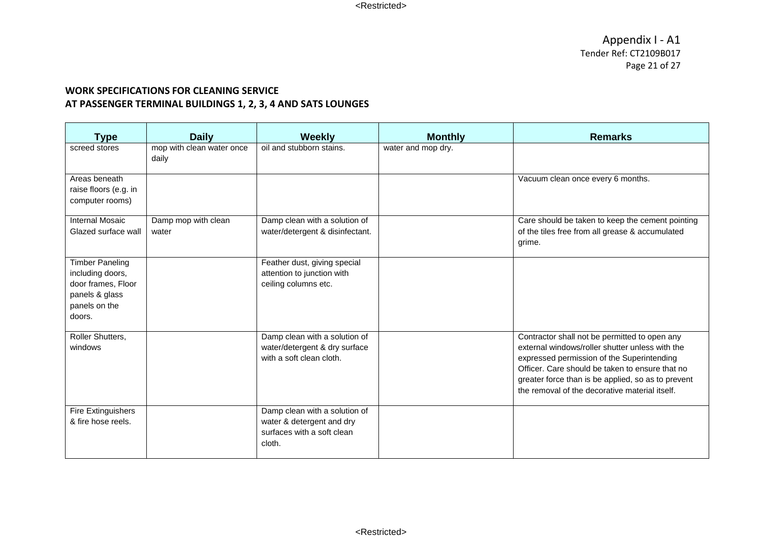| Type                                                                                                   | <b>Daily</b>                       | <b>Weekly</b>                                                                                      | <b>Monthly</b>     | <b>Remarks</b>                                                                                                                                                                                                                                                                                            |
|--------------------------------------------------------------------------------------------------------|------------------------------------|----------------------------------------------------------------------------------------------------|--------------------|-----------------------------------------------------------------------------------------------------------------------------------------------------------------------------------------------------------------------------------------------------------------------------------------------------------|
| screed stores                                                                                          | mop with clean water once<br>daily | oil and stubborn stains.                                                                           | water and mop dry. |                                                                                                                                                                                                                                                                                                           |
| Areas beneath<br>raise floors (e.g. in<br>computer rooms)                                              |                                    |                                                                                                    |                    | Vacuum clean once every 6 months.                                                                                                                                                                                                                                                                         |
| <b>Internal Mosaic</b><br>Glazed surface wall                                                          | Damp mop with clean<br>water       | Damp clean with a solution of<br>water/detergent & disinfectant.                                   |                    | Care should be taken to keep the cement pointing<br>of the tiles free from all grease & accumulated<br>grime.                                                                                                                                                                                             |
| Timber Paneling<br>including doors,<br>door frames, Floor<br>panels & glass<br>panels on the<br>doors. |                                    | Feather dust, giving special<br>attention to junction with<br>ceiling columns etc.                 |                    |                                                                                                                                                                                                                                                                                                           |
| Roller Shutters,<br>windows                                                                            |                                    | Damp clean with a solution of<br>water/detergent & dry surface<br>with a soft clean cloth.         |                    | Contractor shall not be permitted to open any<br>external windows/roller shutter unless with the<br>expressed permission of the Superintending<br>Officer. Care should be taken to ensure that no<br>greater force than is be applied, so as to prevent<br>the removal of the decorative material itself. |
| Fire Extinguishers<br>& fire hose reels.                                                               |                                    | Damp clean with a solution of<br>water & detergent and dry<br>surfaces with a soft clean<br>cloth. |                    |                                                                                                                                                                                                                                                                                                           |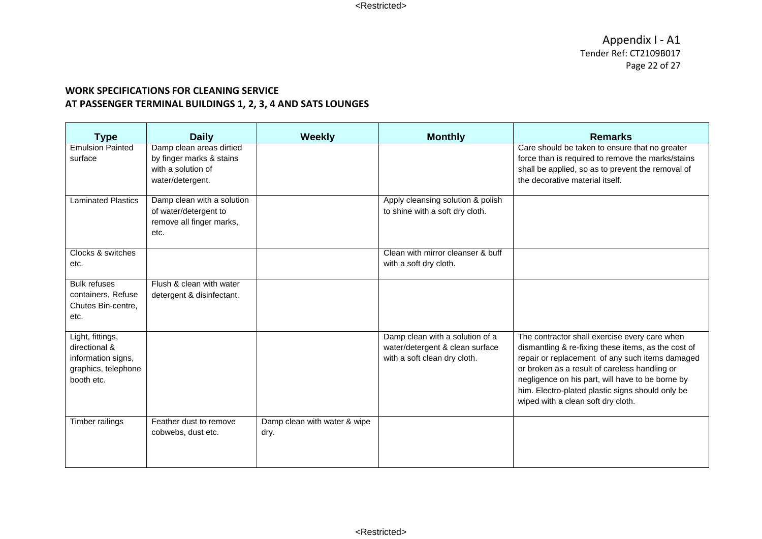| Type                                                                                         | <b>Daily</b>                                                                                   | <b>Weekly</b>                        | <b>Monthly</b>                                                                                     | <b>Remarks</b>                                                                                                                                                                                                                                                                                                                                         |
|----------------------------------------------------------------------------------------------|------------------------------------------------------------------------------------------------|--------------------------------------|----------------------------------------------------------------------------------------------------|--------------------------------------------------------------------------------------------------------------------------------------------------------------------------------------------------------------------------------------------------------------------------------------------------------------------------------------------------------|
| <b>Emulsion Painted</b><br>surface                                                           | Damp clean areas dirtied<br>by finger marks & stains<br>with a solution of<br>water/detergent. |                                      |                                                                                                    | Care should be taken to ensure that no greater<br>force than is required to remove the marks/stains<br>shall be applied, so as to prevent the removal of<br>the decorative material itself.                                                                                                                                                            |
| <b>Laminated Plastics</b>                                                                    | Damp clean with a solution<br>of water/detergent to<br>remove all finger marks,<br>etc.        |                                      | Apply cleansing solution & polish<br>to shine with a soft dry cloth.                               |                                                                                                                                                                                                                                                                                                                                                        |
| Clocks & switches<br>etc.                                                                    |                                                                                                |                                      | Clean with mirror cleanser & buff<br>with a soft dry cloth.                                        |                                                                                                                                                                                                                                                                                                                                                        |
| <b>Bulk refuses</b><br>containers, Refuse<br>Chutes Bin-centre.<br>etc.                      | Flush & clean with water<br>detergent & disinfectant.                                          |                                      |                                                                                                    |                                                                                                                                                                                                                                                                                                                                                        |
| Light, fittings,<br>directional &<br>information signs,<br>graphics, telephone<br>booth etc. |                                                                                                |                                      | Damp clean with a solution of a<br>water/detergent & clean surface<br>with a soft clean dry cloth. | The contractor shall exercise every care when<br>dismantling & re-fixing these items, as the cost of<br>repair or replacement of any such items damaged<br>or broken as a result of careless handling or<br>negligence on his part, will have to be borne by<br>him. Electro-plated plastic signs should only be<br>wiped with a clean soft dry cloth. |
| Timber railings                                                                              | Feather dust to remove<br>cobwebs, dust etc.                                                   | Damp clean with water & wipe<br>dry. |                                                                                                    |                                                                                                                                                                                                                                                                                                                                                        |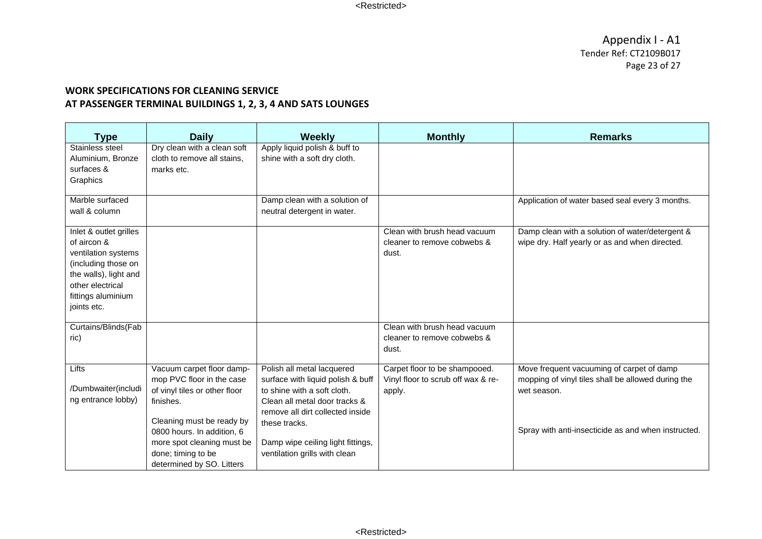| Type                                                                                                                                                                  | <b>Daily</b>                                                                                                                                                                                                                                     | <b>Weekly</b>                                                                                                                                                                                                                                              | <b>Monthly</b>                                                                | <b>Remarks</b>                                                                                                                                                        |
|-----------------------------------------------------------------------------------------------------------------------------------------------------------------------|--------------------------------------------------------------------------------------------------------------------------------------------------------------------------------------------------------------------------------------------------|------------------------------------------------------------------------------------------------------------------------------------------------------------------------------------------------------------------------------------------------------------|-------------------------------------------------------------------------------|-----------------------------------------------------------------------------------------------------------------------------------------------------------------------|
| Stainless steel<br>Aluminium, Bronze<br>surfaces &<br>Graphics                                                                                                        | Dry clean with a clean soft<br>cloth to remove all stains,<br>marks etc.                                                                                                                                                                         | Apply liquid polish & buff to<br>shine with a soft dry cloth.                                                                                                                                                                                              |                                                                               |                                                                                                                                                                       |
| Marble surfaced<br>wall & column                                                                                                                                      |                                                                                                                                                                                                                                                  | Damp clean with a solution of<br>neutral detergent in water.                                                                                                                                                                                               |                                                                               | Application of water based seal every 3 months.                                                                                                                       |
| Inlet & outlet grilles<br>of aircon &<br>ventilation systems<br>(including those on<br>the walls), light and<br>other electrical<br>fittings aluminium<br>joints etc. |                                                                                                                                                                                                                                                  |                                                                                                                                                                                                                                                            | Clean with brush head vacuum<br>cleaner to remove cobwebs &<br>dust.          | Damp clean with a solution of water/detergent &<br>wipe dry. Half yearly or as and when directed.                                                                     |
| Curtains/Blinds(Fab<br>ric)                                                                                                                                           |                                                                                                                                                                                                                                                  |                                                                                                                                                                                                                                                            | Clean with brush head vacuum<br>cleaner to remove cobwebs &<br>dust.          |                                                                                                                                                                       |
| Lifts<br>/Dumbwaiter(includi<br>ng entrance lobby)                                                                                                                    | Vacuum carpet floor damp-<br>mop PVC floor in the case<br>of vinyl tiles or other floor<br>finishes.<br>Cleaning must be ready by<br>0800 hours. In addition, 6<br>more spot cleaning must be<br>done; timing to be<br>determined by SO. Litters | Polish all metal lacquered<br>surface with liquid polish & buff<br>to shine with a soft cloth.<br>Clean all metal door tracks &<br>remove all dirt collected inside<br>these tracks.<br>Damp wipe ceiling light fittings,<br>ventilation grills with clean | Carpet floor to be shampooed.<br>Vinyl floor to scrub off wax & re-<br>apply. | Move frequent vacuuming of carpet of damp<br>mopping of vinyl tiles shall be allowed during the<br>wet season.<br>Spray with anti-insecticide as and when instructed. |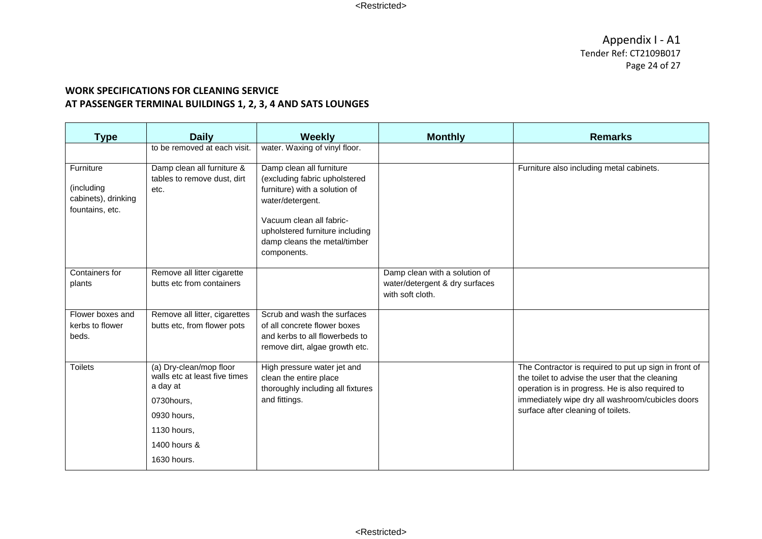| <b>Type</b>                                                       | <b>Daily</b>                                                                                                                                    | <b>Weekly</b>                                                                                                                                                                                                                | <b>Monthly</b>                                                                      | <b>Remarks</b>                                                                                                                                                                                                                                         |
|-------------------------------------------------------------------|-------------------------------------------------------------------------------------------------------------------------------------------------|------------------------------------------------------------------------------------------------------------------------------------------------------------------------------------------------------------------------------|-------------------------------------------------------------------------------------|--------------------------------------------------------------------------------------------------------------------------------------------------------------------------------------------------------------------------------------------------------|
|                                                                   | to be removed at each visit.                                                                                                                    | water. Waxing of vinyl floor.                                                                                                                                                                                                |                                                                                     |                                                                                                                                                                                                                                                        |
| Furniture<br>(including<br>cabinets), drinking<br>fountains, etc. | Damp clean all furniture &<br>tables to remove dust, dirt<br>etc.                                                                               | Damp clean all furniture<br>(excluding fabric upholstered<br>furniture) with a solution of<br>water/detergent.<br>Vacuum clean all fabric-<br>upholstered furniture including<br>damp cleans the metal/timber<br>components. |                                                                                     | Furniture also including metal cabinets.                                                                                                                                                                                                               |
| Containers for<br>plants                                          | Remove all litter cigarette<br>butts etc from containers                                                                                        |                                                                                                                                                                                                                              | Damp clean with a solution of<br>water/detergent & dry surfaces<br>with soft cloth. |                                                                                                                                                                                                                                                        |
| Flower boxes and<br>kerbs to flower<br>beds.                      | Remove all litter, cigarettes<br>butts etc, from flower pots                                                                                    | Scrub and wash the surfaces<br>of all concrete flower boxes<br>and kerbs to all flowerbeds to<br>remove dirt, algae growth etc.                                                                                              |                                                                                     |                                                                                                                                                                                                                                                        |
| <b>Toilets</b>                                                    | (a) Dry-clean/mop floor<br>walls etc at least five times<br>a day at<br>0730hours,<br>0930 hours,<br>1130 hours,<br>1400 hours &<br>1630 hours. | High pressure water jet and<br>clean the entire place<br>thoroughly including all fixtures<br>and fittings.                                                                                                                  |                                                                                     | The Contractor is required to put up sign in front of<br>the toilet to advise the user that the cleaning<br>operation is in progress. He is also required to<br>immediately wipe dry all washroom/cubicles doors<br>surface after cleaning of toilets. |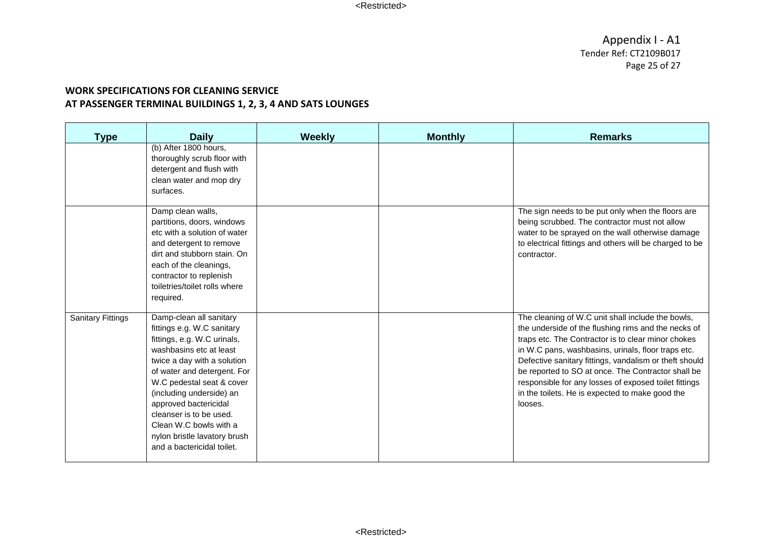| <b>Type</b>              | <b>Daily</b>                                                                                                                                                                                                                                                                                                                                                                       | Weekly | <b>Monthly</b> | <b>Remarks</b>                                                                                                                                                                                                                                                                                                                                                                                                                                              |
|--------------------------|------------------------------------------------------------------------------------------------------------------------------------------------------------------------------------------------------------------------------------------------------------------------------------------------------------------------------------------------------------------------------------|--------|----------------|-------------------------------------------------------------------------------------------------------------------------------------------------------------------------------------------------------------------------------------------------------------------------------------------------------------------------------------------------------------------------------------------------------------------------------------------------------------|
|                          | (b) After 1800 hours,<br>thoroughly scrub floor with<br>detergent and flush with<br>clean water and mop dry<br>surfaces.                                                                                                                                                                                                                                                           |        |                |                                                                                                                                                                                                                                                                                                                                                                                                                                                             |
|                          | Damp clean walls,<br>partitions, doors, windows<br>etc with a solution of water<br>and detergent to remove<br>dirt and stubborn stain. On<br>each of the cleanings,<br>contractor to replenish<br>toiletries/toilet rolls where<br>required.                                                                                                                                       |        |                | The sign needs to be put only when the floors are<br>being scrubbed. The contractor must not allow<br>water to be sprayed on the wall otherwise damage<br>to electrical fittings and others will be charged to be<br>contractor.                                                                                                                                                                                                                            |
| <b>Sanitary Fittings</b> | Damp-clean all sanitary<br>fittings e.g. W.C sanitary<br>fittings, e.g. W.C urinals,<br>washbasins etc at least<br>twice a day with a solution<br>of water and detergent. For<br>W.C pedestal seat & cover<br>(including underside) an<br>approved bactericidal<br>cleanser is to be used.<br>Clean W.C bowls with a<br>nylon bristle lavatory brush<br>and a bactericidal toilet. |        |                | The cleaning of W.C unit shall include the bowls,<br>the underside of the flushing rims and the necks of<br>traps etc. The Contractor is to clear minor chokes<br>in W.C pans, washbasins, urinals, floor traps etc.<br>Defective sanitary fittings, vandalism or theft should<br>be reported to SO at once. The Contractor shall be<br>responsible for any losses of exposed toilet fittings<br>in the toilets. He is expected to make good the<br>looses. |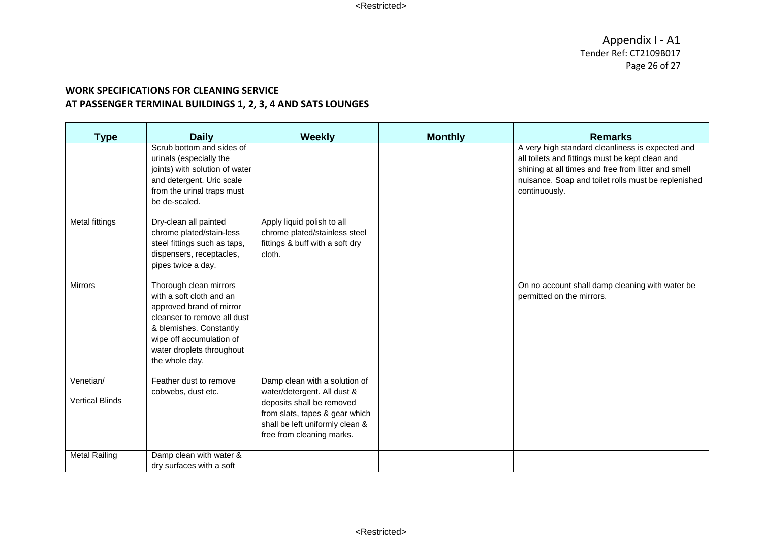| Type                                | <b>Daily</b>                                                                                                                                                                                                        | Weekly                                                                                                                                                                                      | <b>Monthly</b> | <b>Remarks</b>                                                                                                                                                                                                                     |
|-------------------------------------|---------------------------------------------------------------------------------------------------------------------------------------------------------------------------------------------------------------------|---------------------------------------------------------------------------------------------------------------------------------------------------------------------------------------------|----------------|------------------------------------------------------------------------------------------------------------------------------------------------------------------------------------------------------------------------------------|
|                                     | Scrub bottom and sides of<br>urinals (especially the<br>joints) with solution of water<br>and detergent. Uric scale<br>from the urinal traps must<br>be de-scaled.                                                  |                                                                                                                                                                                             |                | A very high standard cleanliness is expected and<br>all toilets and fittings must be kept clean and<br>shining at all times and free from litter and smell<br>nuisance. Soap and toilet rolls must be replenished<br>continuously. |
| Metal fittings                      | Dry-clean all painted<br>chrome plated/stain-less<br>steel fittings such as taps,<br>dispensers, receptacles,<br>pipes twice a day.                                                                                 | Apply liquid polish to all<br>chrome plated/stainless steel<br>fittings & buff with a soft dry<br>cloth.                                                                                    |                |                                                                                                                                                                                                                                    |
| <b>Mirrors</b>                      | Thorough clean mirrors<br>with a soft cloth and an<br>approved brand of mirror<br>cleanser to remove all dust<br>& blemishes. Constantly<br>wipe off accumulation of<br>water droplets throughout<br>the whole day. |                                                                                                                                                                                             |                | On no account shall damp cleaning with water be<br>permitted on the mirrors.                                                                                                                                                       |
| Venetian/<br><b>Vertical Blinds</b> | Feather dust to remove<br>cobwebs, dust etc.                                                                                                                                                                        | Damp clean with a solution of<br>water/detergent. All dust &<br>deposits shall be removed<br>from slats, tapes & gear which<br>shall be left uniformly clean &<br>free from cleaning marks. |                |                                                                                                                                                                                                                                    |
| <b>Metal Railing</b>                | Damp clean with water &<br>dry surfaces with a soft                                                                                                                                                                 |                                                                                                                                                                                             |                |                                                                                                                                                                                                                                    |